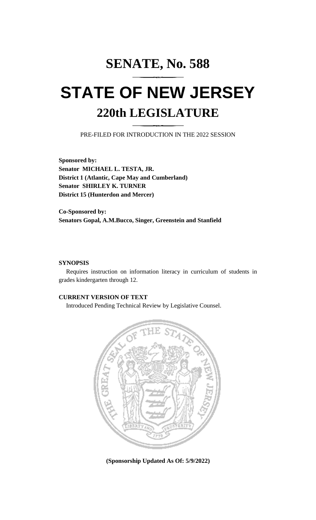# **SENATE, No. 588 STATE OF NEW JERSEY 220th LEGISLATURE**

PRE-FILED FOR INTRODUCTION IN THE 2022 SESSION

**Sponsored by: Senator MICHAEL L. TESTA, JR. District 1 (Atlantic, Cape May and Cumberland) Senator SHIRLEY K. TURNER District 15 (Hunterdon and Mercer)**

**Co-Sponsored by: Senators Gopal, A.M.Bucco, Singer, Greenstein and Stanfield**

### **SYNOPSIS**

Requires instruction on information literacy in curriculum of students in grades kindergarten through 12.

## **CURRENT VERSION OF TEXT**

Introduced Pending Technical Review by Legislative Counsel.



**(Sponsorship Updated As Of: 5/9/2022)**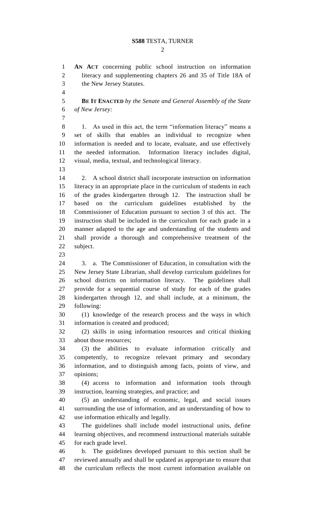#### **S588** TESTA, TURNER

**AN ACT** concerning public school instruction on information

 $\mathcal{D}_{\mathcal{L}}$ 

2 literacy and supplementing chapters 26 and 35 of Title 18A of the New Jersey Statutes. **BE IT ENACTED** *by the Senate and General Assembly of the State of New Jersey:* 8 1. As used in this act, the term "information literacy" means a set of skills that enables an individual to recognize when information is needed and to locate, evaluate, and use effectively the needed information. Information literacy includes digital, visual, media, textual, and technological literacy. 2. A school district shall incorporate instruction on information literacy in an appropriate place in the curriculum of students in each of the grades kindergarten through 12. The instruction shall be

 based on the curriculum guidelines established by the Commissioner of Education pursuant to section 3 of this act. The instruction shall be included in the curriculum for each grade in a manner adapted to the age and understanding of the students and shall provide a thorough and comprehensive treatment of the subject.

 3. a. The Commissioner of Education, in consultation with the New Jersey State Librarian, shall develop curriculum guidelines for school districts on information literacy. The guidelines shall provide for a sequential course of study for each of the grades kindergarten through 12, and shall include, at a minimum, the following:

 (1) knowledge of the research process and the ways in which information is created and produced;

 (2) skills in using information resources and critical thinking about those resources;

 (3) the abilities to evaluate information critically and competently, to recognize relevant primary and secondary information, and to distinguish among facts, points of view, and opinions;

 (4) access to information and information tools through instruction, learning strategies, and practice; and

 (5) an understanding of economic, legal, and social issues surrounding the use of information, and an understanding of how to use information ethically and legally.

 The guidelines shall include model instructional units, define learning objectives, and recommend instructional materials suitable for each grade level.

 b. The guidelines developed pursuant to this section shall be reviewed annually and shall be updated as appropriate to ensure that the curriculum reflects the most current information available on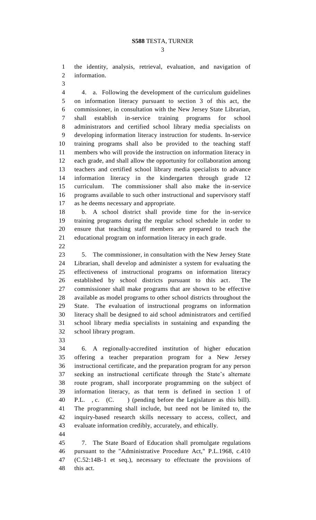the identity, analysis, retrieval, evaluation, and navigation of information.

 4. a. Following the development of the curriculum guidelines on information literacy pursuant to section 3 of this act, the commissioner, in consultation with the New Jersey State Librarian, shall establish in-service training programs for school administrators and certified school library media specialists on developing information literacy instruction for students. In-service training programs shall also be provided to the teaching staff members who will provide the instruction on information literacy in each grade, and shall allow the opportunity for collaboration among teachers and certified school library media specialists to advance information literacy in the kindergarten through grade 12 curriculum. The commissioner shall also make the in-service programs available to such other instructional and supervisory staff as he deems necessary and appropriate.

 b. A school district shall provide time for the in-service training programs during the regular school schedule in order to ensure that teaching staff members are prepared to teach the educational program on information literacy in each grade.

 5. The commissioner, in consultation with the New Jersey State Librarian, shall develop and administer a system for evaluating the effectiveness of instructional programs on information literacy established by school districts pursuant to this act. The commissioner shall make programs that are shown to be effective available as model programs to other school districts throughout the State. The evaluation of instructional programs on information literacy shall be designed to aid school administrators and certified school library media specialists in sustaining and expanding the school library program.

 6. A regionally-accredited institution of higher education offering a teacher preparation program for a New Jersey instructional certificate, and the preparation program for any person seeking an instructional certificate through the State's alternate route program, shall incorporate programming on the subject of information literacy, as that term is defined in section 1 of P.L. , c. (C. ) (pending before the Legislature as this bill). The programming shall include, but need not be limited to, the inquiry-based research skills necessary to access, collect, and evaluate information credibly, accurately, and ethically.

 7. The State Board of Education shall promulgate regulations pursuant to the "Administrative Procedure Act," P.L.1968, c.410 (C.52:14B-1 et seq.), necessary to effectuate the provisions of this act.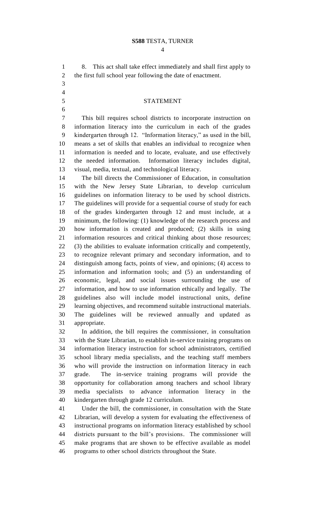#### **S588** TESTA, TURNER

 8. This act shall take effect immediately and shall first apply to the first full school year following the date of enactment. 

#### STATEMENT

 This bill requires school districts to incorporate instruction on information literacy into the curriculum in each of the grades kindergarten through 12. "Information literacy," as used in the bill, means a set of skills that enables an individual to recognize when information is needed and to locate, evaluate, and use effectively the needed information. Information literacy includes digital, visual, media, textual, and technological literacy.

 The bill directs the Commissioner of Education, in consultation with the New Jersey State Librarian, to develop curriculum guidelines on information literacy to be used by school districts. The guidelines will provide for a sequential course of study for each of the grades kindergarten through 12 and must include, at a minimum, the following: (1) knowledge of the research process and how information is created and produced; (2) skills in using information resources and critical thinking about those resources; (3) the abilities to evaluate information critically and competently, to recognize relevant primary and secondary information, and to distinguish among facts, points of view, and opinions; (4) access to information and information tools; and (5) an understanding of economic, legal, and social issues surrounding the use of information, and how to use information ethically and legally. The guidelines also will include model instructional units, define learning objectives, and recommend suitable instructional materials. The guidelines will be reviewed annually and updated as appropriate.

 In addition, the bill requires the commissioner, in consultation with the State Librarian, to establish in-service training programs on information literacy instruction for school administrators, certified school library media specialists, and the teaching staff members who will provide the instruction on information literacy in each grade. The in-service training programs will provide the opportunity for collaboration among teachers and school library media specialists to advance information literacy in the kindergarten through grade 12 curriculum.

 Under the bill, the commissioner, in consultation with the State Librarian, will develop a system for evaluating the effectiveness of instructional programs on information literacy established by school districts pursuant to the bill's provisions. The commissioner will make programs that are shown to be effective available as model programs to other school districts throughout the State.